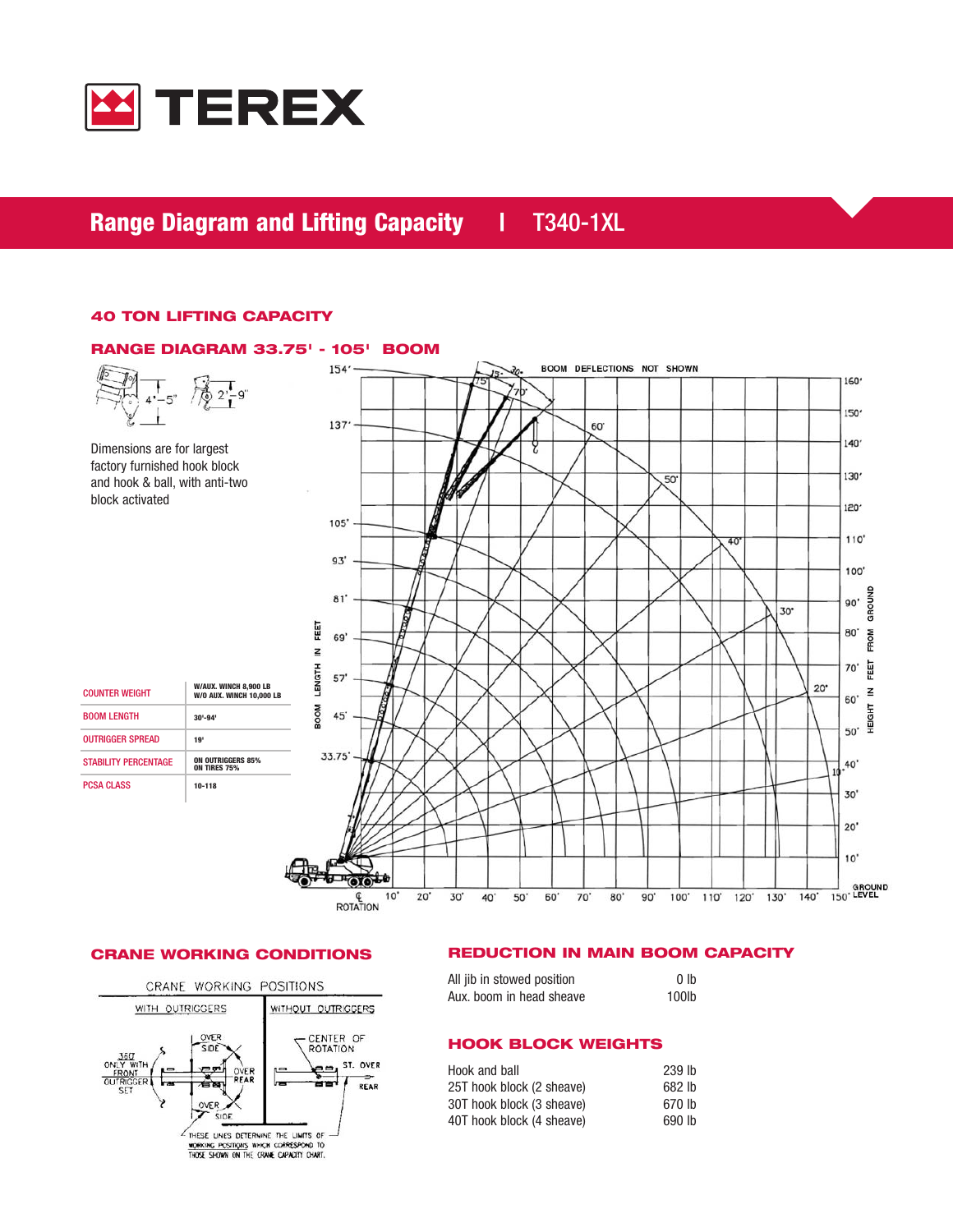

# **Range Diagram and Lifting Capacity |** T340-1XL **Cranes |**

## **40 TON LIFTING CAPACITY**

### **RANGE DIAGRAM 33.75' - 105' BOOM**





## **CRANE WORKING CONDITIONS REDUCTION IN MAIN BOOM CAPACITY**

| All jib in stowed position | 0 <sub>1b</sub> |
|----------------------------|-----------------|
| Aux, boom in head sheave   | 100lb           |

## **HOOK BLOCK WEIGHTS**

| Hook and ball             | 239 lb |
|---------------------------|--------|
| 25T hook block (2 sheave) | 682 lb |
| 30T hook block (3 sheave) | 670 lb |
| 40T hook block (4 sheave) | 690 lb |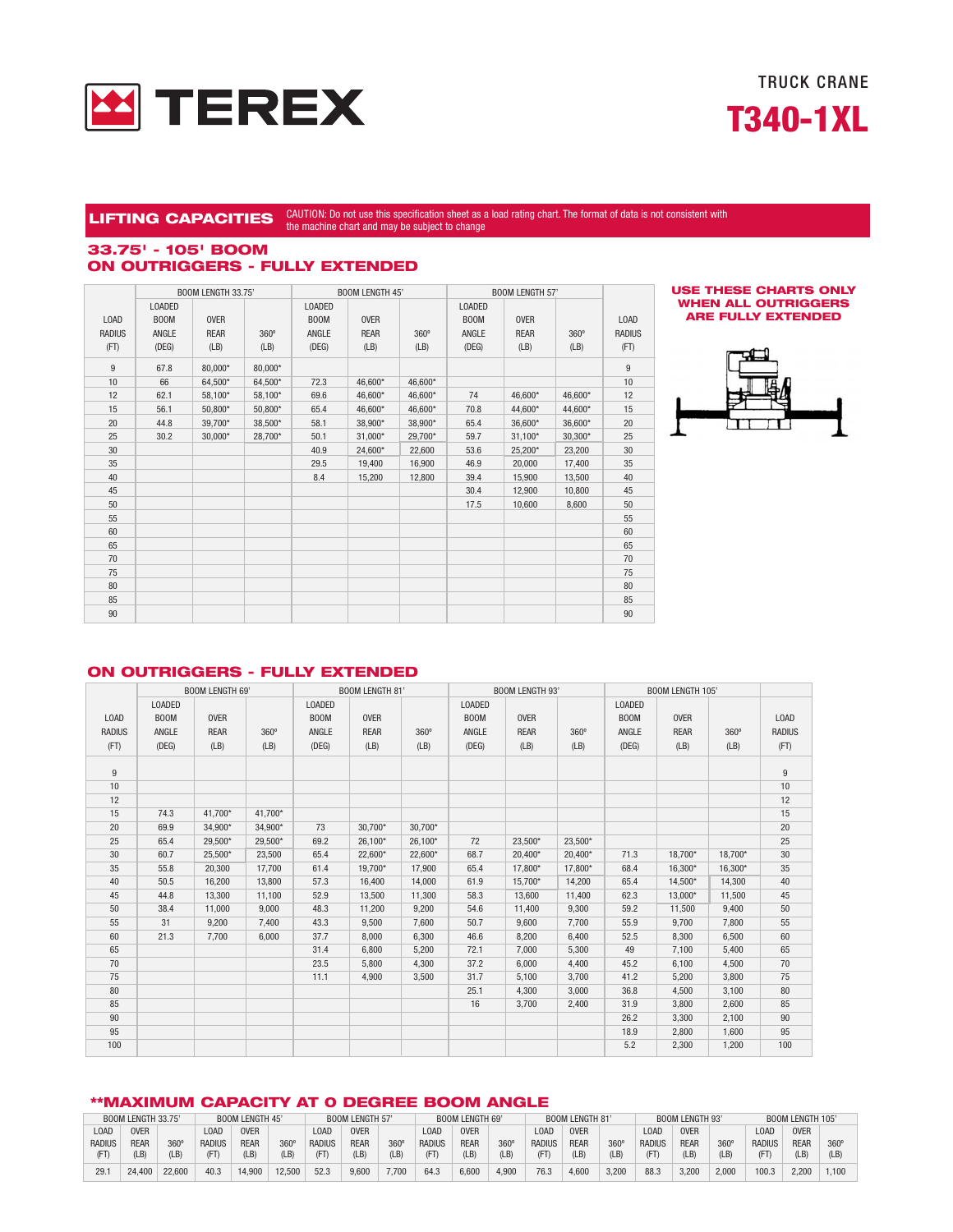

## LIFTING CAPACITIES <sup>CAUTION:</sup> Do not use this specification sheet as a load rating chart. The format of data is not consistent with the machine chart and may be subject to change

## **33.75' - 105' BOOM ON OUTRIGGERS - FULLY EXTENDED**

|               |               | BOOM LENGTH 33.75' |             |               | <b>BOOM LENGTH 45'</b> |             |               | <b>BOOM LENGTH 57'</b> |             |               |
|---------------|---------------|--------------------|-------------|---------------|------------------------|-------------|---------------|------------------------|-------------|---------------|
|               | <b>LOADED</b> |                    |             | <b>LOADED</b> |                        |             | <b>LOADED</b> |                        |             |               |
| <b>LOAD</b>   | <b>BOOM</b>   | <b>OVER</b>        |             | <b>BOOM</b>   | <b>OVER</b>            |             | <b>BOOM</b>   | <b>OVER</b>            |             | <b>LOAD</b>   |
| <b>RADIUS</b> | ANGLE         | <b>REAR</b>        | $360^\circ$ | ANGLE         | <b>REAR</b>            | $360^\circ$ | ANGLE         | <b>REAR</b>            | $360^\circ$ | <b>RADIUS</b> |
| (FT)          | (DEG)         | (LB)               | (LB)        | (DEG)         | (LB)                   | (LB)        | (DEG)         | (LB)                   | (LB)        | (FT)          |
| 9             | 67.8          | 80,000*            | 80,000*     |               |                        |             |               |                        |             | 9             |
| 10            | 66            | 64,500*            | 64,500*     | 72.3          | 46,600*                | 46,600*     |               |                        |             | 10            |
| 12            | 62.1          | 58,100*            | 58,100*     | 69.6          | 46.600*                | 46,600*     | 74            | 46.600*                | 46.600*     | 12            |
| 15            | 56.1          | 50.800*            | 50.800*     | 65.4          | 46,600*                | 46,600*     | 70.8          | 44,600*                | 44,600*     | 15            |
| 20            | 44.8          | 39,700*            | 38.500*     | 58.1          | 38,900*                | 38,900*     | 65.4          | 36,600*                | 36,600*     | 20            |
| 25            | 30.2          | 30,000*            | 28,700*     | 50.1          | 31,000*                | 29,700*     | 59.7          | 31,100*                | 30,300*     | 25            |
| 30            |               |                    |             | 40.9          | 24,600*                | 22,600      | 53.6          | 25,200*                | 23,200      | 30            |
| 35            |               |                    |             | 29.5          | 19,400                 | 16,900      | 46.9          | 20,000                 | 17,400      | 35            |
| 40            |               |                    |             | 8.4           | 15,200                 | 12,800      | 39.4          | 15,900                 | 13,500      | 40            |
| 45            |               |                    |             |               |                        |             | 30.4          | 12,900                 | 10,800      | 45            |
| 50            |               |                    |             |               |                        |             | 17.5          | 10,600                 | 8,600       | 50            |
| 55            |               |                    |             |               |                        |             |               |                        |             | 55            |
| 60            |               |                    |             |               |                        |             |               |                        |             | 60            |
| 65            |               |                    |             |               |                        |             |               |                        |             | 65            |
| 70            |               |                    |             |               |                        |             |               |                        |             | 70            |
| 75            |               |                    |             |               |                        |             |               |                        |             | 75            |
| 80            |               |                    |             |               |                        |             |               |                        |             | 80            |
| 85            |               |                    |             |               |                        |             |               |                        |             | 85            |
| 90            |               |                    |             |               |                        |             |               |                        |             | 90            |

#### **USE THESE CHARTS ONLY WHEN ALL OUTRIGGERS ARE FULLY EXTENDED**



## **ON OUTRIGGERS - FULLY EXTENDED**

|               |               | <b>BOOM LENGTH 69'</b> |             |               | <b>BOOM LENGTH 81</b> |             |               | <b>BOOM LENGTH 93'</b> |             |                   | <b>BOOM LENGTH 105'</b> |             |                  |
|---------------|---------------|------------------------|-------------|---------------|-----------------------|-------------|---------------|------------------------|-------------|-------------------|-------------------------|-------------|------------------|
|               | <b>LOADED</b> |                        |             | <b>LOADED</b> |                       |             | <b>LOADED</b> |                        |             | <b>LOADED</b>     |                         |             |                  |
| LOAD          | <b>BOOM</b>   | <b>OVER</b>            |             | <b>BOOM</b>   | <b>OVER</b>           |             | <b>BOOM</b>   | <b>OVER</b>            |             | B <sub>0</sub> 0M | <b>OVER</b>             |             | LOAD             |
| <b>RADIUS</b> | ANGLE         | <b>REAR</b>            | $360^\circ$ | ANGLE         | <b>REAR</b>           | $360^\circ$ | ANGLE         | <b>REAR</b>            | $360^\circ$ | ANGLE             | <b>REAR</b>             | $360^\circ$ | <b>RADIUS</b>    |
| (FT)          | (DEG)         | (LB)                   | (LB)        | (DEG)         | (LB)                  | (LB)        | (DEG)         | (LB)                   | (LB)        | (DEG)             | (LB)                    | (LB)        | (FT)             |
| 9             |               |                        |             |               |                       |             |               |                        |             |                   |                         |             | $\boldsymbol{9}$ |
| 10            |               |                        |             |               |                       |             |               |                        |             |                   |                         |             | 10               |
| 12            |               |                        |             |               |                       |             |               |                        |             |                   |                         |             | 12               |
| 15            | 74.3          | 41.700*                | 41.700*     |               |                       |             |               |                        |             |                   |                         |             | 15               |
| 20            | 69.9          | 34,900*                | 34,900*     | 73            | 30,700*               | 30,700*     |               |                        |             |                   |                         |             | 20               |
| 25            | 65.4          | 29,500*                | 29,500*     | 69.2          | 26,100*               | 26,100*     | 72            | 23,500*                | 23,500*     |                   |                         |             | 25               |
| 30            | 60.7          | 25.500*                | 23,500      | 65.4          | 22.600*               | 22,600*     | 68.7          | 20.400*                | 20.400*     | 71.3              | 18.700*                 | 18.700*     | 30               |
| 35            | 55.8          | 20,300                 | 17.700      | 61.4          | 19.700*               | 17,900      | 65.4          | 17.800*                | 17.800*     | 68.4              | 16.300*                 | 16.300*     | 35               |
| 40            | 50.5          | 16,200                 | 13,800      | 57.3          | 16.400                | 14.000      | 61.9          | 15.700*                | 14,200      | 65.4              | 14.500*                 | 14,300      | 40               |
| 45            | 44.8          | 13,300                 | 11,100      | 52.9          | 13.500                | 11,300      | 58.3          | 13,600                 | 11,400      | 62.3              | 13.000*                 | 11.500      | 45               |
| 50            | 38.4          | 11.000                 | 9.000       | 48.3          | 11.200                | 9.200       | 54.6          | 11.400                 | 9.300       | 59.2              | 11.500                  | 9.400       | 50               |
| 55            | 31            | 9,200                  | 7,400       | 43.3          | 9,500                 | 7,600       | 50.7          | 9,600                  | 7,700       | 55.9              | 9,700                   | 7,800       | 55               |
| 60            | 21.3          | 7.700                  | 6,000       | 37.7          | 8,000                 | 6,300       | 46.6          | 8,200                  | 6,400       | 52.5              | 8,300                   | 6,500       | 60               |
| 65            |               |                        |             | 31.4          | 6.800                 | 5.200       | 72.1          | 7.000                  | 5.300       | 49                | 7.100                   | 5.400       | 65               |
| 70            |               |                        |             | 23.5          | 5,800                 | 4,300       | 37.2          | 6,000                  | 4,400       | 45.2              | 6.100                   | 4,500       | 70               |
| 75            |               |                        |             | 11.1          | 4,900                 | 3,500       | 31.7          | 5,100                  | 3,700       | 41.2              | 5,200                   | 3,800       | 75               |
| 80            |               |                        |             |               |                       |             | 25.1          | 4.300                  | 3.000       | 36.8              | 4.500                   | 3.100       | 80               |
| 85            |               |                        |             |               |                       |             | 16            | 3,700                  | 2,400       | 31.9              | 3,800                   | 2,600       | 85               |
| 90            |               |                        |             |               |                       |             |               |                        |             | 26.2              | 3,300                   | 2,100       | 90               |
| 95            |               |                        |             |               |                       |             |               |                        |             | 18.9              | 2.800                   | 1.600       | 95               |
| 100           |               |                        |             |               |                       |             |               |                        |             | 5.2               | 2,300                   | 1,200       | 100              |

## **\*\*MAXIMUM CAPACITY AT 0 DEGREE BOOM ANGLE**

|                      | BOOM LENGTH 33.75' |                       |                       | <b>BOOM LENGTH 45'</b> |            |                   | <b>BOOM LENGTH 57'</b> |      |                      | <b>BOOM LENGTH 69'</b> |                       |                       | <b>BOOM LENGTH 81'</b> |       |               | <b>BOOM LENGTH 93'</b> |                     |                       | <b>BOOM LENGTH 105'</b> |                          |
|----------------------|--------------------|-----------------------|-----------------------|------------------------|------------|-------------------|------------------------|------|----------------------|------------------------|-----------------------|-----------------------|------------------------|-------|---------------|------------------------|---------------------|-----------------------|-------------------------|--------------------------|
| LOAD                 | <b>OVER</b>        |                       | LOAD                  | <b>OVER</b>            |            | L <sub>0</sub> AD | <b>OVER</b>            |      | L <sub>0</sub> AD    | <b>OVER</b>            |                       | $0A\Gamma$            | <b>OVER</b>            |       | LOAD          | <b>OVER</b>            |                     | LOAD                  | <b>OVER</b>             |                          |
| <b>RADIUS</b><br>(FT | <b>REAF</b><br>LВ  | $360^{\circ}$<br>(LB) | <b>RADIUS</b><br>(FT) | <b>REAR</b><br>(LB)    | 360<br>(LB | <b>RADIU:</b>     | <b>REAP</b><br>(LB)    | 360  | <b>RADIUS</b><br>(FT | <b>REAR</b><br>(LB)    | $360^{\circ}$<br>(LB) | <b>RADIUS</b><br>(FT) | <b>REAR</b>            | 360   | RADIUS<br>(FT | <b>REAR</b><br>(LB)    | $360^\circ$<br>(LB) | <b>RADIUS</b><br>(FT) | <b>REAR</b>             | 360 <sup>°</sup><br>(LB) |
| 29.7                 | 24.400             | 22.600                | 40.3                  | 14.900                 | 2.500      | 52.3              | 9.600                  | .700 | 64.3                 | 6.600                  | 4.900                 | 76.3                  | 4.600                  | 3.200 | 88.3          | 3.200                  | 2.000               | 100.3                 | 2.200                   | 1.100                    |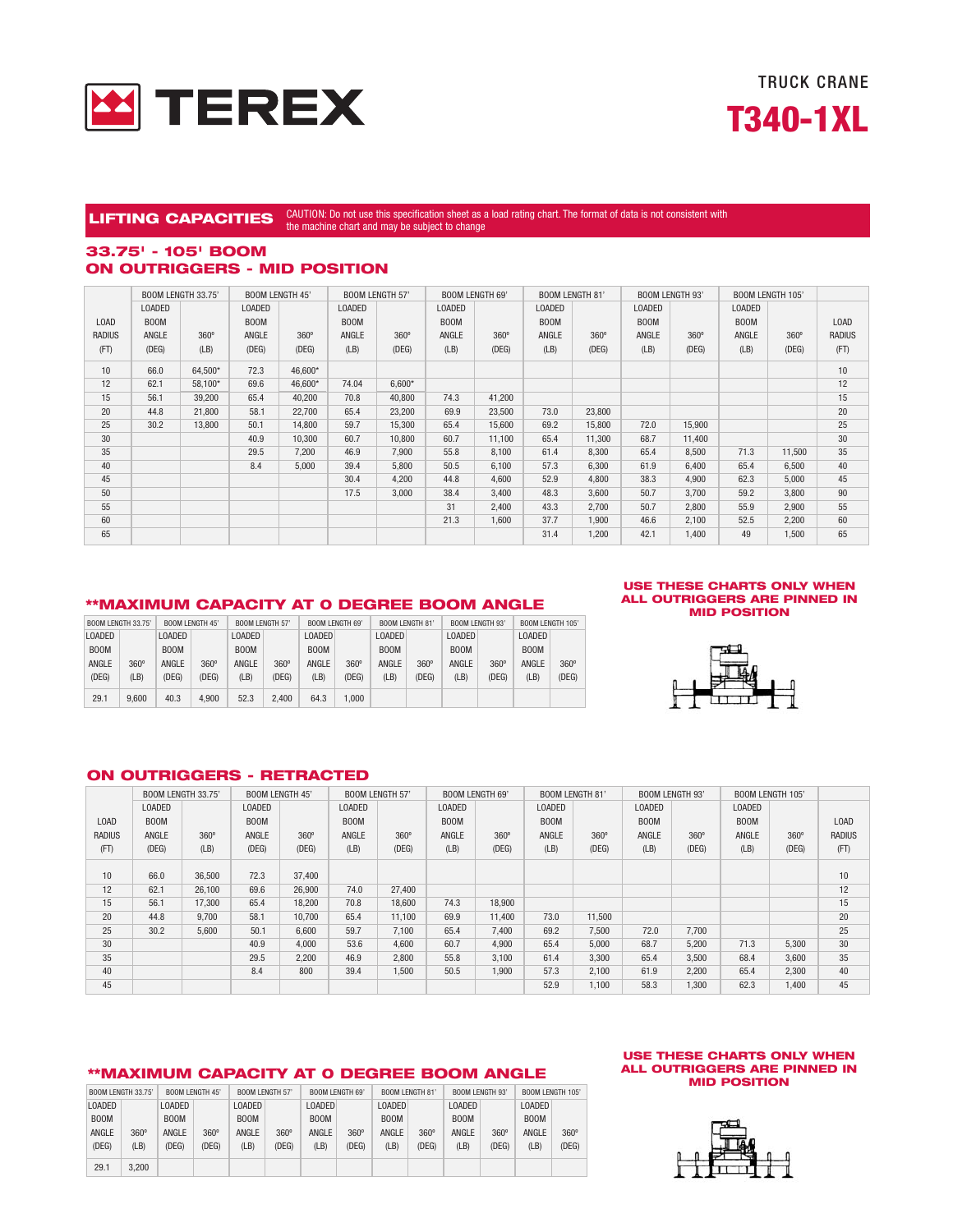

## LIFTING CAPACITIES <sup>CAUTION:</sup> Do not use this specification sheet as a load rating chart. The format of data is not consistent with the machine chart and may be subject to change

## **33.75' - 105' BOOM ON OUTRIGGERS - MID POSITION**

|               |             | BOOM LENGTH 33.75' | <b>BOOM LENGTH 45'</b> |             |               | <b>BOOM LENGTH 57'</b> |             | <b>BOOM LENGTH 69'</b> | <b>BOOM LENGTH 81'</b> |             | <b>BOOM LENGTH 93'</b> |        | <b>BOOM LENGTH 105'</b> |             |               |
|---------------|-------------|--------------------|------------------------|-------------|---------------|------------------------|-------------|------------------------|------------------------|-------------|------------------------|--------|-------------------------|-------------|---------------|
|               | LOADED      |                    | <b>LOADED</b>          |             | <b>LOADED</b> |                        | LOADED      |                        | <b>LOADED</b>          |             | <b>LOADED</b>          |        | <b>LOADED</b>           |             |               |
| <b>LOAD</b>   | <b>BOOM</b> |                    | <b>BOOM</b>            |             | <b>BOOM</b>   |                        | <b>BOOM</b> |                        | B00M                   |             | <b>BOOM</b>            |        | <b>BOOM</b>             |             | LOAD          |
| <b>RADIUS</b> | ANGLE       | $360^\circ$        | ANGLE                  | $360^\circ$ | ANGLE         | $360^\circ$            | ANGLE       | $360^\circ$            | ANGLE                  | $360^\circ$ | ANGLE                  | 360°   | ANGLE                   | $360^\circ$ | <b>RADIUS</b> |
| (FT)          | (DEG)       | (LB)               | (DEG)                  | (DEG)       | (LB)          | (DEG)                  | (LB)        | (DEG)                  | (LB)                   | (DEG)       | (LB)                   | (DEG)  | (LB)                    | (DEG)       | (FT)          |
| 10            | 66.0        | 64,500*            | 72.3                   | 46,600*     |               |                        |             |                        |                        |             |                        |        |                         |             | 10            |
| 12            | 62.1        | 58.100*            | 69.6                   | 46.600*     | 74.04         | $6.600*$               |             |                        |                        |             |                        |        |                         |             | 12            |
| 15            | 56.1        | 39,200             | 65.4                   | 40,200      | 70.8          | 40,800                 | 74.3        | 41,200                 |                        |             |                        |        |                         |             | 15            |
| 20            | 44.8        | 21,800             | 58.1                   | 22,700      | 65.4          | 23,200                 | 69.9        | 23,500                 | 73.0                   | 23,800      |                        |        |                         |             | 20            |
| 25            | 30.2        | 13.800             | 50.1                   | 14,800      | 59.7          | 15,300                 | 65.4        | 15,600                 | 69.2                   | 15,800      | 72.0                   | 15,900 |                         |             | 25            |
| 30            |             |                    | 40.9                   | 10,300      | 60.7          | 10,800                 | 60.7        | 11,100                 | 65.4                   | 11,300      | 68.7                   | 11,400 |                         |             | 30            |
| 35            |             |                    | 29.5                   | 7,200       | 46.9          | 7,900                  | 55.8        | 8,100                  | 61.4                   | 8,300       | 65.4                   | 8,500  | 71.3                    | 11,500      | 35            |
| 40            |             |                    | 8.4                    | 5,000       | 39.4          | 5,800                  | 50.5        | 6,100                  | 57.3                   | 6,300       | 61.9                   | 6,400  | 65.4                    | 6,500       | 40            |
| 45            |             |                    |                        |             | 30.4          | 4,200                  | 44.8        | 4,600                  | 52.9                   | 4,800       | 38.3                   | 4,900  | 62.3                    | 5,000       | 45            |
| 50            |             |                    |                        |             | 17.5          | 3.000                  | 38.4        | 3.400                  | 48.3                   | 3,600       | 50.7                   | 3.700  | 59.2                    | 3,800       | 90            |
| 55            |             |                    |                        |             |               |                        | 31          | 2.400                  | 43.3                   | 2.700       | 50.7                   | 2,800  | 55.9                    | 2,900       | 55            |
| 60            |             |                    |                        |             |               |                        | 21.3        | 1.600                  | 37.7                   | 1.900       | 46.6                   | 2.100  | 52.5                    | 2,200       | 60            |
| 65            |             |                    |                        |             |               |                        |             |                        | 31.4                   | 1,200       | 42.1                   | 1,400  | 49                      | 1,500       | 65            |

## **\*\*MAXIMUM CAPACITY AT 0 DEGREE BOOM ANGLE**

| <b>BOOM LENGTH 33.75'</b> |             | BOOM LENGTH 45' |             | BOOM LENGTH 57' |             | BOOM LENGTH 69' |             | BOOM LENGTH 81' |      | BOOM LENGTH 93' |             | BOOM LENGTH 105' |             |
|---------------------------|-------------|-----------------|-------------|-----------------|-------------|-----------------|-------------|-----------------|------|-----------------|-------------|------------------|-------------|
| <b>LOADED</b>             |             | LOADED          |             | <b>LOADED</b>   |             | <b>LOADED</b>   |             | LOADED          |      | <b>LOADED</b>   |             | <b>LOADED</b>    |             |
| <b>BOOM</b>               |             | <b>BOOM</b>     |             | <b>BOOM</b>     |             | <b>BOOM</b>     |             | <b>BOOM</b>     |      | <b>BOOM</b>     |             | <b>BOOM</b>      |             |
| ANGLE                     | $360^\circ$ | <b>ANGLE</b>    | $360^\circ$ | ANGLE           | $360^\circ$ | ANGLE           | $360^\circ$ | ANGLE           | 360° | ANGLE           | $360^\circ$ | ANGLE            | $360^\circ$ |
| (DEG)                     | (LB)        | (DEG)           | (DEG)       | (LB)            | (DEG)       | (LB)            | (DEG)       | (LB)            | DEG) | (LB)            | (DEG)       | (LB)             | (DEG)       |
| 29.1                      | 9.600       | 40.3            | 4.900       | 52.3            | 2.400       | 64.3            | .000.       |                 |      |                 |             |                  |             |

#### **USE THESE CHARTS ONLY WHEN ALL OUTRIGGERS ARE PINNED IN MID POSITION**



## **ON OUTRIGGERS - RETRACTED**

|               |             | BOOM LENGTH 33.75' | <b>BOOM LENGTH 45'</b> |             |             | <b>BOOM LENGTH 57'</b> |             | <b>BOOM LENGTH 69'</b> | <b>BOOM LENGTH 81'</b> |             |             | <b>BOOM LENGTH 93'</b> | <b>BOOM LENGTH 105'</b> |             |               |
|---------------|-------------|--------------------|------------------------|-------------|-------------|------------------------|-------------|------------------------|------------------------|-------------|-------------|------------------------|-------------------------|-------------|---------------|
|               | LOADED      |                    | LOADED                 |             | LOADED      |                        | LOADED      |                        | <b>LOADED</b>          |             | LOADED      |                        | LOADED                  |             |               |
| LOAD          | <b>BOOM</b> |                    | <b>BOOM</b>            |             | <b>BOOM</b> |                        | <b>BOOM</b> |                        | <b>BOOM</b>            |             | <b>BOOM</b> |                        | BOOM                    |             | LOAD          |
| <b>RADIUS</b> | ANGLE       | $360^\circ$        | ANGLE                  | $360^\circ$ | ANGLE       | $360^\circ$            | ANGLE       | 360°                   | ANGLE                  | $360^\circ$ | ANGLE       | $360^\circ$            | ANGLE                   | $360^\circ$ | <b>RADIUS</b> |
| (FT)          | (DEG)       | (LB)               | (DEG)                  | (DEG)       | (LB)        | (DEG)                  | (LB)        | (DEG)                  | (LB)                   | (DEG)       | (LB)        | (DEG)                  | (LB)                    | (DEG)       | (FT)          |
|               |             |                    |                        |             |             |                        |             |                        |                        |             |             |                        |                         |             |               |
| 10            | 66.0        | 36,500             | 72.3                   | 37.400      |             |                        |             |                        |                        |             |             |                        |                         |             | 10            |
| 12            | 62.1        | 26,100             | 69.6                   | 26,900      | 74.0        | 27,400                 |             |                        |                        |             |             |                        |                         |             | 12            |
| 15            | 56.1        | 17,300             | 65.4                   | 18.200      | 70.8        | 18,600                 | 74.3        | 18,900                 |                        |             |             |                        |                         |             | 15            |
| 20            | 44.8        | 9.700              | 58.1                   | 10.700      | 65.4        | 11.100                 | 69.9        | 11.400                 | 73.0                   | 11.500      |             |                        |                         |             | 20            |
| 25            | 30.2        | 5,600              | 50.1                   | 6.600       | 59.7        | 7,100                  | 65.4        | 7.400                  | 69.2                   | 7,500       | 72.0        | 7.700                  |                         |             | 25            |
| 30            |             |                    | 40.9                   | 4.000       | 53.6        | 4,600                  | 60.7        | 4.900                  | 65.4                   | 5.000       | 68.7        | 5.200                  | 71.3                    | 5,300       | 30            |
| 35            |             |                    | 29.5                   | 2.200       | 46.9        | 2,800                  | 55.8        | 3.100                  | 61.4                   | 3,300       | 65.4        | 3.500                  | 68.4                    | 3,600       | 35            |
| 40            |             |                    | 8.4                    | 800         | 39.4        | 1.500                  | 50.5        | 1.900                  | 57.3                   | 2.100       | 61.9        | 2.200                  | 65.4                    | 2,300       | 40            |
| 45            |             |                    |                        |             |             |                        |             |                        | 52.9                   | 1,100       | 58.3        | 1,300                  | 62.3                    | 1,400       | 45            |

## **\*\*MAXIMUM CAPACITY AT 0 DEGREE BOOM ANGLE**

| BOOM LENGTH 105' |
|------------------|
|                  |
|                  |
| $360^\circ$      |
| (DEG)            |
|                  |
| LOADED<br>ANGLE  |

#### **USE THESE CHARTS ONLY WHEN ALL OUTRIGGERS ARE PINNED IN MID POSITION**

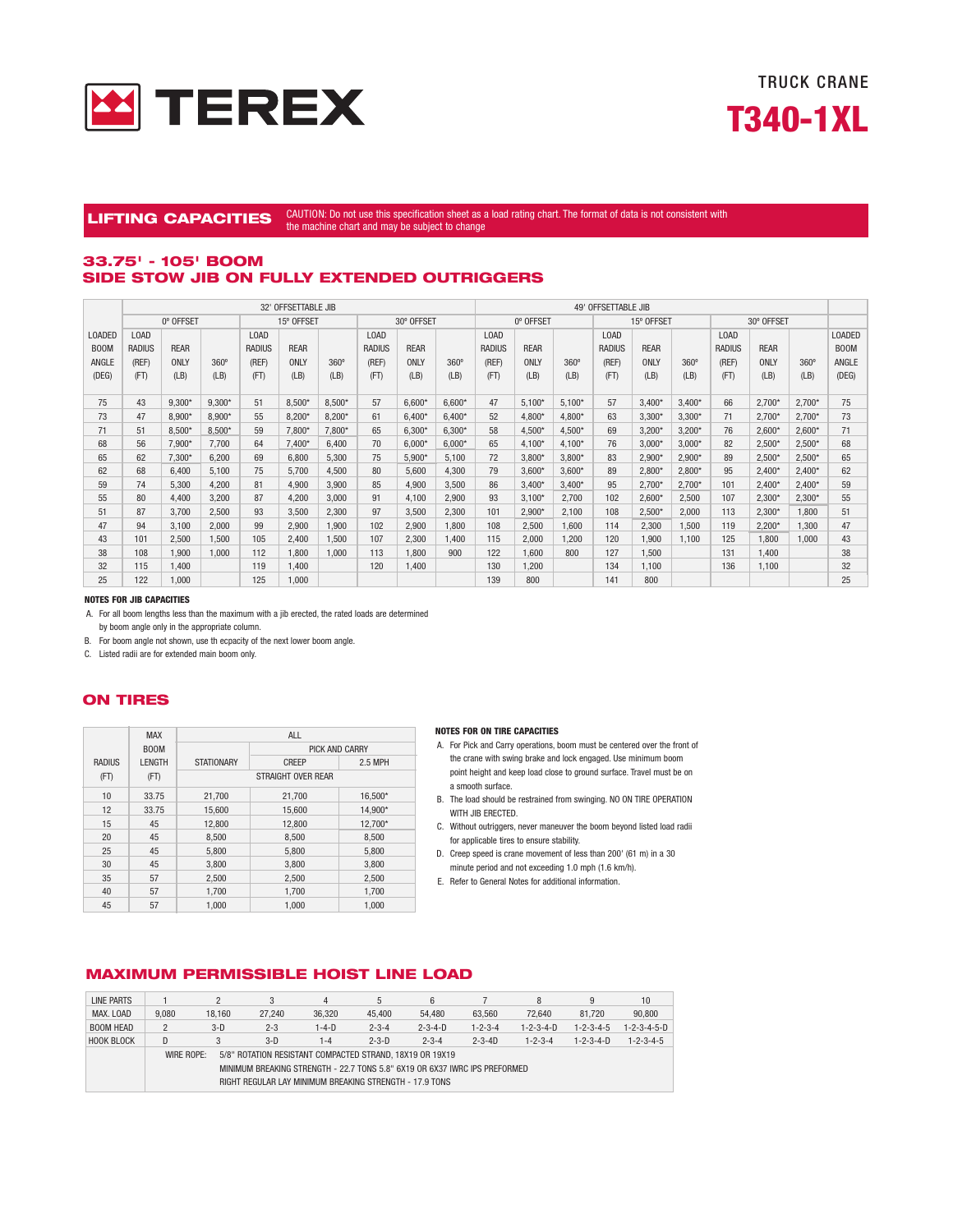

## **LIFTING CAPACITIES** CAUTION: Do not use this specification sheet as a load rating chart. The format of data is not consistent with the machine chart and may be subject to change

## **33.75' - 105' BOOM SIDE STOW JIB ON FULLY EXTENDED OUTRIGGERS**

|               | 32' OFFSETTABLE JIB |             |             |               |             |             |               |             |             |                               |             |             | 49' OFFSETTABLE JIB |             |             |               |             |             |               |
|---------------|---------------------|-------------|-------------|---------------|-------------|-------------|---------------|-------------|-------------|-------------------------------|-------------|-------------|---------------------|-------------|-------------|---------------|-------------|-------------|---------------|
|               |                     | 0° OFFSET   |             |               | 15° OFFSET  |             |               | 30° OFFSET  |             |                               | 0° OFFSET   |             |                     | 15° OFFSET  |             |               | 30° OFFSET  |             |               |
| <b>LOADED</b> | LOAD                |             |             | <b>LOAD</b>   |             |             | <b>LOAD</b>   |             |             | L <sub>0</sub> A <sub>D</sub> |             |             | LOAD                |             |             | <b>LOAD</b>   |             |             | <b>LOADED</b> |
| <b>BOOM</b>   | <b>RADIUS</b>       | <b>REAR</b> |             | <b>RADIUS</b> | <b>REAR</b> |             | <b>RADIUS</b> | <b>REAR</b> |             | <b>RADIUS</b>                 | <b>REAR</b> |             | <b>RADIUS</b>       | <b>REAR</b> |             | <b>RADIUS</b> | <b>REAR</b> |             | <b>BOOM</b>   |
| ANGLE         | (REF)               | ONLY        | $360^\circ$ | (REF)         | <b>ONLY</b> | $360^\circ$ | (REF)         | <b>ONLY</b> | $360^\circ$ | (REF)                         | ONLY        | $360^\circ$ | (REF)               | <b>ONLY</b> | $360^\circ$ | (REF)         | ONLY        | $360^\circ$ | ANGLE         |
| (DEG)         | (FT)                | (LB)        | (LB)        | (FT)          | (LB)        | (LB)        | (FT)          | (LB)        | (LB)        | (FT)                          | (LB)        | (LB)        | (FT)                | (LB)        | (LB)        | (FT)          | (LB)        | (LB)        | (DEG)         |
|               |                     |             |             |               |             |             |               |             |             |                               |             |             |                     |             |             |               |             |             |               |
| 75            | 43                  | $9.300*$    | $9.300*$    | 51            | $8,500*$    | $8.500*$    | 57            | $6.600*$    | $6.600*$    | 47                            | $5.100*$    | $5.100*$    | 57                  | $3.400*$    | $3.400*$    | 66            | $2.700*$    | $2.700*$    | 75            |
| 73            | 47                  | $8.900*$    | $8.900*$    | 55            | $8.200*$    | $8.200*$    | 61            | $6.400*$    | $6.400*$    | 52                            | 4.800*      | 4.800*      | 63                  | 3.300*      | $3.300*$    | 71            | $2.700*$    | $2.700*$    | 73            |
| 71            | 51                  | $8.500*$    | $8.500*$    | 59            | $7.800*$    | $7.800*$    | 65            | $6.300*$    | $6.300*$    | 58                            | 4.500*      | 4.500*      | 69                  | $3,200*$    | $3.200*$    | 76            | $2.600*$    | $2.600*$    | 71            |
| 68            | 56                  | $7.900*$    | 7.700       | 64            | $7.400*$    | 6.400       | 70            | $6.000*$    | $6.000*$    | 65                            | $4.100*$    | $4.100*$    | 76                  | $3.000*$    | $3.000*$    | 82            | $2.500*$    | $2.500*$    | 68            |
| 65            | 62                  | $7.300*$    | 6.200       | 69            | 6.800       | 5.300       | 75            | $5.900*$    | 5.100       | 72                            | $3.800*$    | $3.800*$    | 83                  | $2.900*$    | $2.900*$    | 89            | $2.500*$    | $2.500*$    | 65            |
| 62            | 68                  | 6.400       | 5.100       | 75            | 5.700       | 4.500       | 80            | 5.600       | 4.300       | 79                            | $3.600*$    | $3.600*$    | 89                  | $2,800*$    | $2.800*$    | 95            | $2.400*$    | $2,400*$    | 62            |
| 59            | 74                  | 5.300       | 4.200       | 81            | 4.900       | 3.900       | 85            | 4.900       | 3.500       | 86                            | $3.400*$    | $3.400*$    | 95                  | $2.700*$    | $2.700*$    | 101           | $2.400*$    | $2.400*$    | 59            |
| 55            | 80                  | 4.400       | 3.200       | 87            | 4.200       | 3.000       | 91            | 4.100       | 2.900       | 93                            | $3.100*$    | 2.700       | 102                 | $2,600*$    | 2.500       | 107           | $2.300*$    | $2.300*$    | 55            |
| 51            | 87                  | 3.700       | 2.500       | 93            | 3.500       | 2.300       | 97            | 3.500       | 2.300       | 101                           | $2.900*$    | 2.100       | 108                 | $2,500*$    | 2.000       | 113           | $2.300*$    | 1.800       | 51            |
| 47            | 94                  | 3.100       | 2.000       | 99            | 2.900       | 1.900       | 102           | 2.900       | 1.800       | 108                           | 2.500       | 1.600       | 114                 | 2.300       | 1.500       | 119           | $2.200*$    | 1.300       | 47            |
| 43            | 101                 | 2.500       | 1.500       | 105           | 2.400       | 1.500       | 107           | 2.300       | 1.400       | 115                           | 2.000       | 1.200       | 120                 | 1.900       | 1.100       | 125           | 1.800       | 1.000       | 43            |
| 38            | 108                 | 1.900       | 1.000       | 112           | 1.800       | 1.000       | 113           | 1,800       | 900         | 122                           | 1.600       | 800         | 127                 | 1,500       |             | 131           | 1.400       |             | 38            |
| 32            | 115                 | 1.400       |             | 119           | 1.400       |             | 120           | 1.400       |             | 130                           | 1.200       |             | 134                 | 1.100       |             | 136           | 1.100       |             | 32            |
| 25            | 122                 | 1.000       |             | 125           | 1,000       |             |               |             |             | 139                           | 800         |             | 141                 | 800         |             |               |             |             | 25            |

#### **NOTES FOR JIB CAPACITIES**

A. For all boom lengths less than the maximum with a jib erected, the rated loads are determined

by boom angle only in the appropriate column.

B. For boom angle not shown, use th ecpacity of the next lower boom angle.

C. Listed radii are for extended main boom only.

### **ON TIRES**

|               | <b>MAX</b>  |                   | <b>ALL</b>         |         |
|---------------|-------------|-------------------|--------------------|---------|
|               | <b>BOOM</b> |                   | PICK AND CARRY     |         |
| <b>RADIUS</b> | LENGTH      | <b>STATIONARY</b> | CREEP              | 2.5 MPH |
| (FT)          | (FT)        |                   | STRAIGHT OVER REAR |         |
| 10            | 33.75       | 21.700            | 21.700             | 16.500* |
| 12            | 33.75       | 15,600            | 15,600             | 14.900* |
| 15            | 45          | 12,800            | 12.800             | 12,700* |
| 20            | 45          | 8.500             | 8,500              | 8.500   |
| 25            | 45          | 5,800             | 5,800              | 5,800   |
| 30            | 45          | 3.800             | 3.800              | 3.800   |
| 35            | 57          | 2,500             | 2,500              | 2,500   |
| 40            | 57          | 1,700             | 1,700              | 1,700   |
| 45            | 57          | 1.000             | 1.000              | 1.000   |

#### **NOTES FOR ON TIRE CAPACITIES**

- A. For Pick and Carry operations, boom must be centered over the front of the crane with swing brake and lock engaged. Use minimum boom point height and keep load close to ground surface. Travel must be on a smooth surface.
- B. The load should be restrained from swinging. NO ON TIRE OPERATION WITH JIB ERECTED.
- C. Without outriggers, never maneuver the boom beyond listed load radii for applicable tires to ensure stability.
- D. Creep speed is crane movement of less than 200' (61 m) in a 30 minute period and not exceeding 1.0 mph (1.6 km/h).
- E. Refer to General Notes for additional information.

## **MAXIMUM PERMISSIBLE HOIST LINE LOAD**

|                |        |            | 4           | 5           | 6               |                                                                                                                     |                     | 9                                                                          | 10                      |
|----------------|--------|------------|-------------|-------------|-----------------|---------------------------------------------------------------------------------------------------------------------|---------------------|----------------------------------------------------------------------------|-------------------------|
| 9.080          | 18.160 | 27.240     | 36.320      | 45.400      | 54.480          | 63.560                                                                                                              | 72.640              | 81.720                                                                     | 90,800                  |
| $\overline{c}$ | $3-D$  | $2 - 3$    | $1 - 4 - D$ | $2 - 3 - 4$ | $2 - 3 - 4 - D$ | $1 - 2 - 3 - 4$                                                                                                     | $1 - 2 - 3 - 4 - D$ | $1 - 2 - 3 - 4 - 5$                                                        | $1 - 2 - 3 - 4 - 5 - D$ |
| D              |        | $3-D$      | $1 - 4$     | $2 - 3 - D$ | $2 - 3 - 4$     | $2 - 3 - 4D$                                                                                                        | $1 - 2 - 3 - 4$     | $1 - 2 - 3 - 4 - D$                                                        | $1 - 2 - 3 - 4 - 5$     |
|                |        |            |             |             |                 |                                                                                                                     |                     |                                                                            |                         |
|                |        |            |             |             |                 |                                                                                                                     |                     |                                                                            |                         |
|                |        |            |             |             |                 |                                                                                                                     |                     |                                                                            |                         |
|                |        | WIRE ROPE: |             |             |                 | 5/8" ROTATION RESISTANT COMPACTED STRAND, 18X19 OR 19X19<br>RIGHT REGULAR LAY MINIMUM BREAKING STRENGTH - 17.9 TONS |                     | MINIMUM BREAKING STRENGTH - 22.7 TONS 5.8" 6X19 OR 6X37 IWRC IPS PREFORMED |                         |